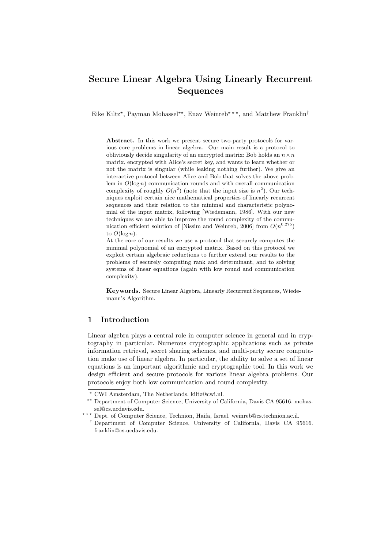# Secure Linear Algebra Using Linearly Recurrent Sequences

Eike Kiltz<sup>\*</sup>, Payman Mohassel<sup>\*\*</sup>, Enav Weinreb<sup>\*\*\*</sup>, and Matthew Franklin<sup>†</sup>

Abstract. In this work we present secure two-party protocols for various core problems in linear algebra. Our main result is a protocol to obliviously decide singularity of an encrypted matrix: Bob holds an  $n \times n$ matrix, encrypted with Alice's secret key, and wants to learn whether or not the matrix is singular (while leaking nothing further). We give an interactive protocol between Alice and Bob that solves the above problem in  $O(\log n)$  communication rounds and with overall communication complexity of roughly  $O(n^2)$  (note that the input size is  $n^2$ ). Our techniques exploit certain nice mathematical properties of linearly recurrent sequences and their relation to the minimal and characteristic polynomial of the input matrix, following [Wiedemann, 1986]. With our new techniques we are able to improve the round complexity of the communication efficient solution of [Nissim and Weinreb, 2006] from  $O(n^{0.275})$ to  $O(\log n)$ .

At the core of our results we use a protocol that securely computes the minimal polynomial of an encrypted matrix. Based on this protocol we exploit certain algebraic reductions to further extend our results to the problems of securely computing rank and determinant, and to solving systems of linear equations (again with low round and communication complexity).

Keywords. Secure Linear Algebra, Linearly Recurrent Sequences, Wiedemann's Algorithm.

### 1 Introduction

Linear algebra plays a central role in computer science in general and in cryptography in particular. Numerous cryptographic applications such as private information retrieval, secret sharing schemes, and multi-party secure computation make use of linear algebra. In particular, the ability to solve a set of linear equations is an important algorithmic and cryptographic tool. In this work we design efficient and secure protocols for various linear algebra problems. Our protocols enjoy both low communication and round complexity.

 $^{\star}$  CWI Amsterdam, The Netherlands. kiltz@cwi.nl.

<sup>\*\*</sup> Department of Computer Science, University of California, Davis CA 95616. mohassel@cs.ucdavis.edu.

<sup>\*\*\*</sup> Dept. of Computer Science, Technion, Haifa, Israel. weinreb@cs.technion.ac.il.

<sup>†</sup> Department of Computer Science, University of California, Davis CA 95616. franklin@cs.ucdavis.edu.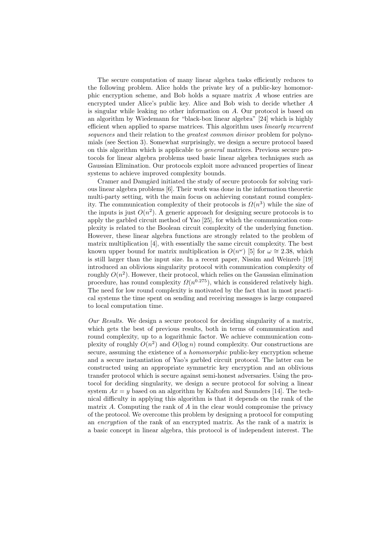The secure computation of many linear algebra tasks efficiently reduces to the following problem. Alice holds the private key of a public-key homomorphic encryption scheme, and Bob holds a square matrix A whose entries are encrypted under Alice's public key. Alice and Bob wish to decide whether A is singular while leaking no other information on A. Our protocol is based on an algorithm by Wiedemann for "black-box linear algebra" [24] which is highly efficient when applied to sparse matrices. This algorithm uses linearly recurrent sequences and their relation to the *greatest common divisor* problem for polynomials (see Section 3). Somewhat surprisingly, we design a secure protocol based on this algorithm which is applicable to general matrices. Previous secure protocols for linear algebra problems used basic linear algebra techniques such as Gaussian Elimination. Our protocols exploit more advanced properties of linear systems to achieve improved complexity bounds.

Cramer and Damgård initiated the study of secure protocols for solving various linear algebra problems [6]. Their work was done in the information theoretic multi-party setting, with the main focus on achieving constant round complexity. The communication complexity of their protocols is  $\Omega(n^3)$  while the size of the inputs is just  $O(n^2)$ . A generic approach for designing secure protocols is to apply the garbled circuit method of Yao [25], for which the communication complexity is related to the Boolean circuit complexity of the underlying function. However, these linear algebra functions are strongly related to the problem of matrix multiplication [4], with essentially the same circuit complexity. The best known upper bound for matrix multiplication is  $O(n^{\omega})$  [5] for  $\omega \cong 2.38$ , which is still larger than the input size. In a recent paper, Nissim and Weinreb [19] introduced an oblivious singularity protocol with communication complexity of roughly  $O(n^2)$ . However, their protocol, which relies on the Gaussian elimination procedure, has round complexity  $\Omega(n^{0.275})$ , which is considered relatively high. The need for low round complexity is motivated by the fact that in most practical systems the time spent on sending and receiving messages is large compared to local computation time.

Our Results. We design a secure protocol for deciding singularity of a matrix, which gets the best of previous results, both in terms of communication and round complexity, up to a logarithmic factor. We achieve communication complexity of roughly  $O(n^2)$  and  $O(\log n)$  round complexity. Our constructions are secure, assuming the existence of a *homomorphic* public-key encryption scheme and a secure instantiation of Yao's garbled circuit protocol. The latter can be constructed using an appropriate symmetric key encryption and an oblivious transfer protocol which is secure against semi-honest adversaries. Using the protocol for deciding singularity, we design a secure protocol for solving a linear system  $Ax = y$  based on an algorithm by Kaltofen and Saunders [14]. The technical difficulty in applying this algorithm is that it depends on the rank of the matrix A. Computing the rank of A in the clear would compromise the privacy of the protocol. We overcome this problem by designing a protocol for computing an encryption of the rank of an encrypted matrix. As the rank of a matrix is a basic concept in linear algebra, this protocol is of independent interest. The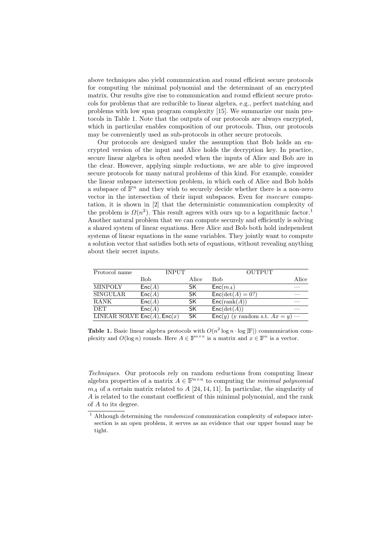above techniques also yield communication and round efficient secure protocols for computing the minimal polynomial and the determinant of an encrypted matrix. Our results give rise to communication and round efficient secure protocols for problems that are reducible to linear algebra, e.g., perfect matching and problems with low span program complexity [15]. We summarize our main protocols in Table 1. Note that the outputs of our protocols are always encrypted, which in particular enables composition of our protocols. Thus, our protocols may be conveniently used as sub-protocols in other secure protocols.

Our protocols are designed under the assumption that Bob holds an encrypted version of the input and Alice holds the decryption key. In practice, secure linear algebra is often needed when the inputs of Alice and Bob are in the clear. However, applying simple reductions, we are able to give improved secure protocols for many natural problems of this kind. For example, consider the linear subspace intersection problem, in which each of Alice and Bob holds a subspace of  $\mathbb{F}^n$  and they wish to securely decide whether there is a non-zero vector in the intersection of their input subspaces. Even for insecure computation, it is shown in [2] that the deterministic communication complexity of the problem is  $\Omega(n^2)$ . This result agrees with ours up to a logarithmic factor.<sup>1</sup> Another natural problem that we can compute securely and efficiently is solving a shared system of linear equations. Here Alice and Bob both hold independent systems of linear equations in the same variables. They jointly want to compute a solution vector that satisfies both sets of equations, without revealing anything about their secret inputs.

| Protocol name                    | <b>INPUT</b> |           | <b>OUTPUT</b>                        |       |
|----------------------------------|--------------|-----------|--------------------------------------|-------|
|                                  | Bob          | Alice     | Bob                                  | Alice |
| <b>MINPOLY</b>                   | Enc(A)       | SK        | $Enc(m_A)$                           |       |
| <b>SINGULAR</b>                  | Enc(A)       | SK.       | $Enc(det(A) = 0?)$                   |       |
| <b>RANK</b>                      | Enc(A)       | <b>SK</b> | Enc(rank(A))                         |       |
| <b>DET</b>                       | Enc(A)       | SK.       | Enc(det(A))                          |       |
| LINEAR SOLVE $Enc(A)$ , $Enc(x)$ |              | <b>SK</b> | $Enc(y)$ (y random s.t. $Ax = y$ ) — |       |

**Table 1.** Basic linear algebra protocols with  $O(n^2 \log n \cdot \log |\mathbb{F}|)$  communication complexity and  $O(\log n)$  rounds. Here  $A \in \mathbb{F}^{n \times n}$  is a matrix and  $x \in \mathbb{F}^n$  is a vector.

Techniques. Our protocols rely on random reductions from computing linear algebra properties of a matrix  $A \in \mathbb{F}^{n \times n}$  to computing the *minimal polynomial*  $m_A$  of a certain matrix related to  $A$  [24, 14, 11]. In particular, the singularity of A is related to the constant coefficient of this minimal polynomial, and the rank of A to its degree.

 $1$  Although determining the *randomized* communication complexity of subspace intersection is an open problem, it serves as an evidence that our upper bound may be tight.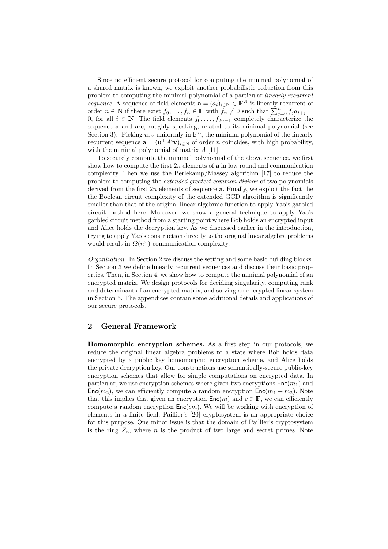Since no efficient secure protocol for computing the minimal polynomial of a shared matrix is known, we exploit another probabilistic reduction from this problem to computing the minimal polynomial of a particular linearly recurrent sequence. A sequence of field elements  $\mathbf{a} = (a_i)_{i \in \mathbb{N}} \in \mathbb{F}^{\mathbb{N}}$  is linearly recurrent of order  $n \in \mathbb{N}$  if there exist  $f_0, \ldots, f_n \in \mathbb{F}$  with  $f_n \neq 0$  such that  $\sum_{j=0}^n f_j a_{i+j} =$ 0, for all  $i \in \mathbb{N}$ . The field elements  $f_0, \ldots, f_{2n-1}$  completely characterize the sequence **a** and are, roughly speaking, related to its minimal polynomial (see Section 3). Picking u, v uniformly in  $\mathbb{F}^n$ , the minimal polynomial of the linearly recurrent sequence  $\mathbf{a} = (\mathbf{u}^\top A^i \mathbf{v})_{i \in \mathbb{N}}$  of order *n* coincides, with high probability, with the minimal polynomial of matrix  $A$  [11].

To securely compute the minimal polynomial of the above sequence, we first show how to compute the first  $2n$  elements of **a** in low round and communication complexity. Then we use the Berlekamp/Massey algorithm [17] to reduce the problem to computing the extended greatest common divisor of two polynomials derived from the first  $2n$  elements of sequence **a**. Finally, we exploit the fact the the Boolean circuit complexity of the extended GCD algorithm is significantly smaller than that of the original linear algebraic function to apply Yao's garbled circuit method here. Moreover, we show a general technique to apply Yao's garbled circuit method from a starting point where Bob holds an encrypted input and Alice holds the decryption key. As we discussed earlier in the introduction, trying to apply Yao's construction directly to the original linear algebra problems would result in  $\Omega(n^{\omega})$  communication complexity.

Organization. In Section 2 we discuss the setting and some basic building blocks. In Section 3 we define linearly recurrent sequences and discuss their basic properties. Then, in Section 4, we show how to compute the minimal polynomial of an encrypted matrix. We design protocols for deciding singularity, computing rank and determinant of an encrypted matrix, and solving an encrypted linear system in Section 5. The appendices contain some additional details and applications of our secure protocols.

### 2 General Framework

Homomorphic encryption schemes. As a first step in our protocols, we reduce the original linear algebra problems to a state where Bob holds data encrypted by a public key homomorphic encryption scheme, and Alice holds the private decryption key. Our constructions use semantically-secure public-key encryption schemes that allow for simple computations on encrypted data. In particular, we use encryption schemes where given two encryptions  $Enc(m_1)$  and  $\textsf{Enc}(m_2)$ , we can efficiently compute a random encryption  $\textsf{Enc}(m_1 + m_2)$ . Note that this implies that given an encryption  $\mathsf{Enc}(m)$  and  $c \in \mathbb{F}$ , we can efficiently compute a random encryption  $Enc(cm)$ . We will be working with encryption of elements in a finite field. Paillier's [20] cryptosystem is an appropriate choice for this purpose. One minor issue is that the domain of Paillier's cryptosystem is the ring  $Z_n$ , where n is the product of two large and secret primes. Note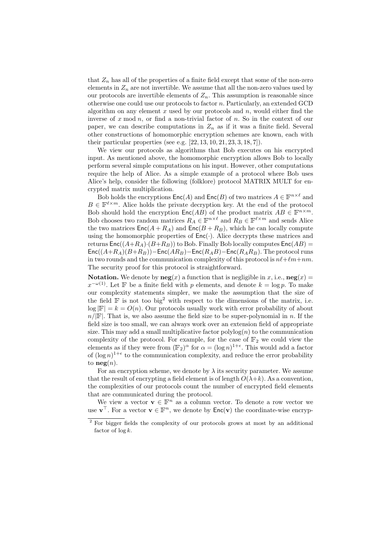that  $Z_n$  has all of the properties of a finite field except that some of the non-zero elements in  $Z_n$  are not invertible. We assume that all the non-zero values used by our protocols are invertible elements of  $Z_n$ . This assumption is reasonable since otherwise one could use our protocols to factor n. Particularly, an extended GCD algorithm on any element  $x$  used by our protocols and  $n$ , would either find the inverse of  $x \mod n$ , or find a non-trivial factor of  $n$ . So in the context of our paper, we can describe computations in  $Z_n$  as if it was a finite field. Several other constructions of homomorphic encryption schemes are known, each with their particular properties (see e.g.  $[22, 13, 10, 21, 23, 3, 18, 7]$ ).

We view our protocols as algorithms that Bob executes on his encrypted input. As mentioned above, the homomorphic encryption allows Bob to locally perform several simple computations on his input. However, other computations require the help of Alice. As a simple example of a protocol where Bob uses Alice's help, consider the following (folklore) protocol MATRIX MULT for encrypted matrix multiplication.

Bob holds the encryptions  $\mathsf{Enc}(A)$  and  $\mathsf{Enc}(B)$  of two matrices  $A \in \mathbb{F}^{n \times \ell}$  and  $B \in \mathbb{F}^{\ell \times m}$ . Alice holds the private decryption key. At the end of the protocol Bob should hold the encryption  $\mathsf{Enc}(AB)$  of the product matrix  $AB \in \mathbb{F}^{n \times m}$ . Bob chooses two random matrices  $R_A \in \mathbb{F}^{n \times \ell}$  and  $R_B \in \mathbb{F}^{\ell \times m}$  and sends Alice the two matrices  $Enc(A + R_A)$  and  $Enc(B + R_B)$ , which he can locally compute using the homomorphic properties of  $Enc(\cdot)$ . Alice decrypts these matrices and returns  $Enc((A+R_A)\cdot (B+R_B))$  to Bob. Finally Bob locally computes  $Enc(AB)$  =  $\mathsf{Enc}((A+R_A)(B+R_B))-\mathsf{Enc}(AR_B)-\mathsf{Enc}(R_AB)-\mathsf{Enc}(R_AR_B).$  The protocol runs in two rounds and the communication complexity of this protocol is  $n\ell+\ell m+nm$ . The security proof for this protocol is straightforward.

**Notation.** We denote by  $neg(x)$  a function that is negligible in x, i.e.,  $neg(x) =$  $x^{-\omega(1)}$ . Let F be a finite field with p elements, and denote  $k = \log p$ . To make our complexity statements simpler, we make the assumption that the size of the field  $\mathbb F$  is not too big<sup>2</sup> with respect to the dimensions of the matrix, i.e.  $\log |F| = k = O(n)$ . Our protocols usually work with error probability of about  $n/|\mathbb{F}|$ . That is, we also assume the field size to be super-polynomial in n. If the field size is too small, we can always work over an extension field of appropriate size. This may add a small multiplicative factor  $\text{polylog}(n)$  to the communication complexity of the protocol. For example, for the case of  $\mathbb{F}_2$  we could view the elements as if they were from  $(\mathbb{F}_2)^\alpha$  for  $\alpha = (\log n)^{1+\epsilon}$ . This would add a factor of  $(\log n)^{1+\epsilon}$  to the communication complexity, and reduce the error probability to  $\mathbf{neg}(n)$ .

For an encryption scheme, we denote by  $\lambda$  its security parameter. We assume that the result of encrypting a field element is of length  $O(\lambda+k)$ . As a convention, the complexities of our protocols count the number of encrypted field elements that are communicated during the protocol.

We view a vector  $\mathbf{v} \in \mathbb{F}^n$  as a column vector. To denote a row vector we use  $\mathbf{v}^\top$ . For a vector  $\mathbf{v} \in \mathbb{F}^n$ , we denote by  $\mathsf{Enc}(\mathbf{v})$  the coordinate-wise encryp-

<sup>2</sup> For bigger fields the complexity of our protocols grows at most by an additional factor of  $\log k$ .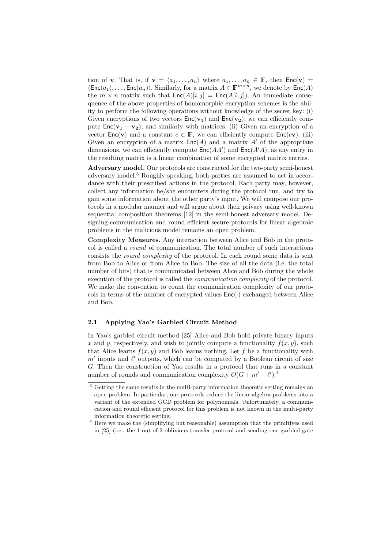tion of **v**. That is, if  $\mathbf{v} = \langle a_1, \ldots, a_n \rangle$  where  $a_1, \ldots, a_n \in \mathbb{F}$ , then  $\mathsf{Enc}(\mathbf{v}) =$  $\langle \textsf{Enc}(a_1), \ldots, \textsf{Enc}(a_n) \rangle$ . Similarly, for a matrix  $A \in \mathbb{F}^{m \times n}$ , we denote by  $\textsf{Enc}(A)$ the  $m \times n$  matrix such that  $Enc(A)[i, j] = Enc(A[i, j])$ . An immediate consequence of the above properties of homomorphic encryption schemes is the ability to perform the following operations without knowledge of the secret key: (i) Given encryptions of two vectors  $Enc(v_1)$  and  $Enc(v_2)$ , we can efficiently compute  $Enc(\mathbf{v_1} + \mathbf{v_2})$ , and similarly with matrices. (ii) Given an encryption of a vector  $Enc(v)$  and a constant  $c \in \mathbb{F}$ , we can efficiently compute  $Enc(cv)$ . (iii) Given an encryption of a matrix  $Enc(A)$  and a matrix A' of the appropriate dimensions, we can efficiently compute  $Enc(AA')$  and  $Enc(A'A)$ , as any entry in the resulting matrix is a linear combination of some encrypted matrix entries.

Adversary model. Our protocols are constructed for the two-party semi-honest adversary model.<sup>3</sup> Roughly speaking, both parties are assumed to act in accordance with their prescribed actions in the protocol. Each party may, however, collect any information he/she encounters during the protocol run, and try to gain some information about the other party's input. We will compose our protocols in a modular manner and will argue about their privacy using well-known sequential composition theorems [12] in the semi-honest adversary model. Designing communication and round efficient secure protocols for linear algebraic problems in the malicious model remains an open problem.

Complexity Measures. Any interaction between Alice and Bob in the protocol is called a round of communication. The total number of such interactions consists the round complexity of the protocol. In each round some data is sent from Bob to Alice or from Alice to Bob. The size of all the data (i.e. the total number of bits) that is communicated between Alice and Bob during the whole execution of the protocol is called the *communication complexity* of the protocol. We make the convention to count the communication complexity of our protocols in terms of the number of encrypted values  $Enc(\cdot)$  exchanged between Alice and Bob.

#### 2.1 Applying Yao's Garbled Circuit Method

In Yao's garbled circuit method [25] Alice and Bob hold private binary inputs x and y, respectively, and wish to jointly compute a functionality  $f(x, y)$ , such that Alice learns  $f(x, y)$  and Bob learns nothing. Let f be a functionality with  $m'$  inputs and  $\ell'$  outputs, which can be computed by a Boolean circuit of size G. Then the construction of Yao results in a protocol that runs in a constant number of rounds and communication complexity  $O(G + m' + \ell')$ .<sup>4</sup>

<sup>3</sup> Getting the same results in the multi-party information theoretic setting remains an open problem. In particular, our protocols reduce the linear algebra problems into a variant of the extended GCD problem for polynomials. Unfortunately, a communication and round efficient protocol for this problem is not known in the multi-party information theoretic setting.

<sup>4</sup> Here we make the (simplifying but reasonable) assumption that the primitives used in [25] (i.e., the 1-out-of-2 oblivious transfer protocol and sending one garbled gate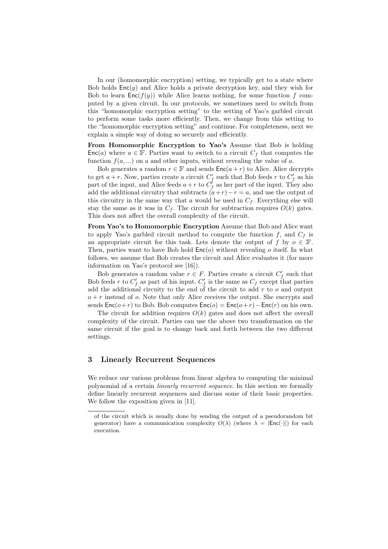In our (homomorphic encryption) setting, we typically get to a state where Bob holds  $Enc(y)$  and Alice holds a private decryption key, and they wish for Bob to learn  $Enc(f(y))$  while Alice learns nothing, for some function f computed by a given circuit. In our protocols, we sometimes need to switch from this "homomorphic encryption setting" to the setting of Yao's garbled circuit to perform some tasks more efficiently. Then, we change from this setting to the "homomorphic encryption setting" and continue. For completeness, next we explain a simple way of doing so securely and efficiently.

From Homomorphic Encryption to Yao's Assume that Bob is holding  $Enc(a)$  where  $a \in \mathbb{F}$ . Parties want to switch to a circuit  $C_f$  that computes the function  $f(a, \ldots)$  on a and other inputs, without revealing the value of a.

Bob generates a random  $r \in \mathbb{F}$  and sends  $\mathsf{Enc}(a+r)$  to Alice. Alice decrypts to get  $a+r$ . Now, parties create a circuit  $C_f'$  such that Bob feeds r to  $C_f'$  as his part of the input, and Alice feeds  $a+r$  to  $C_f^{\prime}$  as her part of the input. They also add the additional circuitry that subtracts  $(a+r)-r=a$ , and use the output of this circuitry in the same way that a would be used in  $C_f$ . Everything else will stay the same as it was in  $C_f$ . The circuit for subtraction requires  $O(k)$  gates. This does not affect the overall complexity of the circuit.

From Yao's to Homomorphic Encryption Assume that Bob and Alice want to apply Yao's garbled circuit method to compute the function  $f$ , and  $C_f$  is an appropriate circuit for this task. Lets denote the output of f by  $o \in \mathbb{F}$ . Then, parties want to have Bob hold  $Enc(o)$  without revealing o itself. In what follows, we assume that Bob creates the circuit and Alice evaluates it (for more information on Yao's protocol see [16]).

Bob generates a random value  $r \in F$ . Parties create a circuit  $C'_f$  such that Bob feeds r to  $C_f'$  as part of his input.  $C_f'$  is the same as  $C_f$  except that parties add the additional circuity to the end of the circuit to add  $r$  to  $o$  and output  $o + r$  instead of o. Note that only Alice receives the output. She encrypts and sends  $Enc(o+r)$  to Bob. Bob computes  $Enc(o) = Enc(o+r) - Enc(r)$  on his own.

The circuit for addition requires  $O(k)$  gates and does not affect the overall complexity of the circuit. Parties can use the above two transformation on the same circuit if the goal is to change back and forth between the two different settings.

### 3 Linearly Recurrent Sequences

We reduce our various problems from linear algebra to computing the minimal polynomial of a certain linearly recurrent sequence. In this section we formally define linearly recurrent sequences and discuss some of their basic properties. We follow the exposition given in [11].

of the circuit which is usually done by sending the output of a pseudorandom bit generator) have a communication complexity  $O(\lambda)$  (where  $\lambda = |Enc(\cdot)|$ ) for each execution.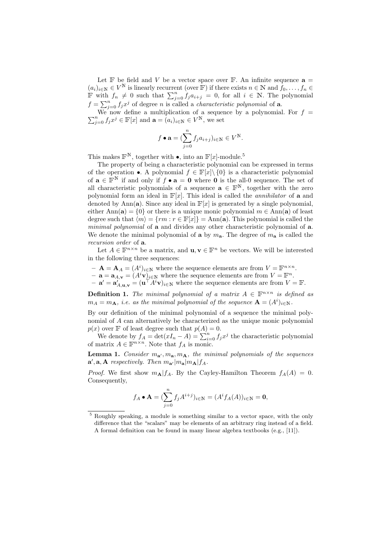Let  $\mathbb F$  be field and V be a vector space over  $\mathbb F$ . An infinite sequence  $\mathbf a =$  $(a_i)_{i\in\mathbb{N}}\in V^{\mathbb{N}}$  is linearly recurrent (over  $\mathbb{F}$ ) if there exists  $n\in\mathbb{N}$  and  $f_0,\ldots,f_n\in\mathbb{N}$ F with  $f_n \neq 0$  such that  $\sum_{j=0}^n f_j a_{i+j} = 0$ , for all  $i \in \mathbb{N}$ . The polynomial  $f = \sum_{j=0}^{n} f_j x^j$  of degree n is called a *characteristic polynomial* of **a**.

 $\sum_{j=0}^{n} f_j x^j \in \mathbb{F}[x]$  and  $\mathbf{a} = (a_i)_{i \in \mathbb{N}} \in V^{\mathbb{N}}$ , we set We now define a multiplication of a sequence by a polynomial. For  $f =$ 

$$
f \bullet \mathbf{a} = (\sum_{j=0}^{n} f_j a_{i+j})_{i \in \mathbb{N}} \in V^{\mathbb{N}}.
$$

This makes  $\mathbb{F}^N$ , together with  $\bullet$ , into an  $\mathbb{F}[x]$ -module.<sup>5</sup>

The property of being a characteristic polynomial can be expressed in terms of the operation •. A polynomial  $f \in \mathbb{F}[x] \setminus \{0\}$  is a characteristic polynomial of  $\mathbf{a} \in \mathbb{F}^N$  if and only if  $f \bullet \mathbf{a} = \mathbf{0}$  where  $\mathbf{0}$  is the all-0 sequence. The set of all characteristic polynomials of a sequence  $\mathbf{a} \in \mathbb{F}^{N}$ , together with the zero polynomial form an ideal in  $\mathbb{F}[x]$ . This ideal is called the *annihilator* of **a** and denoted by Ann(a). Since any ideal in  $\mathbb{F}[x]$  is generated by a single polynomial, either Ann(a) =  $\{0\}$  or there is a unique monic polynomial  $m \in Ann(a)$  of least degree such that  $\langle m \rangle = \{rm + m : r \in \mathbb{F}[x]\} = \text{Ann}(\mathbf{a})$ . This polynomial is called the minimal polynomial of a and divides any other characteristic polynomial of a. We denote the minimal polynomial of **a** by  $m_a$ . The degree of  $m_a$  is called the recursion order of a.

Let  $A \in \mathbb{F}^{n \times n}$  be a matrix, and  $\mathbf{u}, \mathbf{v} \in \mathbb{F}^n$  be vectors. We will be interested in the following three sequences:

- $\mathbf{A} = \mathbf{A}_A = (A^i)_{i \in \mathbb{N}}$  where the sequence elements are from  $V = \mathbb{F}^{n \times n}$ .
- $\mathbf{a} = \mathbf{a}_{A,\mathbf{v}} = (A^i \mathbf{v})_{i \in \mathbb{N}}$  where the sequence elements are from  $V = \mathbb{F}^n$ .
- $-\mathbf{a}' = \mathbf{a}'_{A,\mathbf{u},\mathbf{v}} = (\mathbf{u}^\top \widetilde{A}^i \mathbf{v})_{i \in \mathbb{N}}$  where the sequence elements are from  $V = \mathbb{F}$ .

**Definition 1.** The minimal polynomial of a matrix  $A \in \mathbb{F}^{n \times n}$  is defined as  $m_A = m_A$ , i.e. as the minimal polynomial of the sequence  $\mathbf{A} = (A^i)_{i \in \mathbb{N}}$ .

By our definition of the minimal polynomial of a sequence the minimal polynomial of A can alternatively be characterized as the unique monic polynomial  $p(x)$  over F of least degree such that  $p(A) = 0$ .

We denote by  $f_A = \det(xI_n - A) = \sum_{i=0}^n f_j x^j$  the characteristic polynomial of matrix  $A \in \mathbb{F}^{n \times n}$ . Note that  $f_A$  is monic.

**Lemma 1.** Consider  $m_{a'}$ ,  $m_{a}$ ,  $m_{A}$ , the minimal polynomials of the sequences  $\mathbf{a}', \mathbf{a}, \mathbf{A}$  respectively. Then  $m_{\mathbf{a}'}|m_{\mathbf{a}}|m_{\mathbf{A}}|f_A$ .

*Proof.* We first show  $m_{\mathbf{A}}|f_A$ . By the Cayley-Hamilton Theorem  $f_A(A) = 0$ . Consequently,

$$
f_A \bullet \mathbf{A} = (\sum_{j=0}^n f_j A^{i+j})_{i \in \mathbb{N}} = (A^i f_A(A))_{i \in \mathbb{N}} = \mathbf{0},
$$

<sup>5</sup> Roughly speaking, a module is something similar to a vector space, with the only difference that the "scalars" may be elements of an arbitrary ring instead of a field. A formal definition can be found in many linear algebra textbooks (e.g., [11]).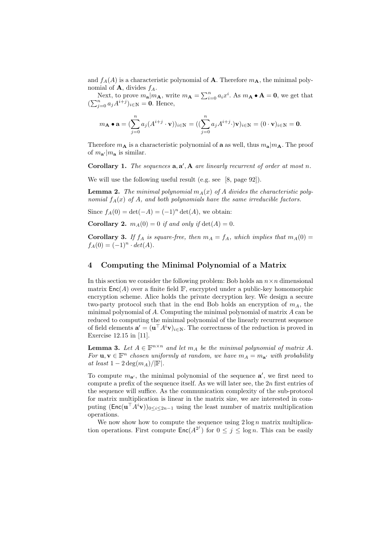and  $f_A(A)$  is a characteristic polynomial of **A**. Therefore  $m_A$ , the minimal polynomial of  $A$ , divides  $f_A$ .

Next, to prove  $m_{\mathbf{a}}|m_{\mathbf{A}}$ , write  $m_{\mathbf{A}} = \sum_{i=0}^{n} a_i x^i$ . As  $m_{\mathbf{A}} \bullet \mathbf{A} = \mathbf{0}$ , we get that  $(\sum_{j=0}^n a_j A^{i+j})_{i\in\mathbb{N}} = \mathbf{0}$ . Hence,

$$
m_{\mathbf{A}} \bullet \mathbf{a} = (\sum_{j=0}^{n} a_j (A^{i+j} \cdot \mathbf{v}))_{i \in \mathbb{N}} = ((\sum_{j=0}^{n} a_j A^{i+j} \cdot) \mathbf{v})_{i \in \mathbb{N}} = (0 \cdot \mathbf{v})_{i \in \mathbb{N}} = \mathbf{0}.
$$

Therefore  $m_{\mathbf{A}}$  is a characteristic polynomial of **a** as well, thus  $m_{\mathbf{a}}|m_{\mathbf{A}}$ . The proof of  $m_{\mathbf{a}'} |m_{\mathbf{a}}$  is similar.

Corollary 1. The sequences  $a, a', A$  are linearly recurrent of order at most n.

We will use the following useful result (e.g. see [8, page 92]).

**Lemma 2.** The minimal polynomial  $m_A(x)$  of A divides the characteristic polynomial  $f_A(x)$  of A, and both polynomials have the same irreducible factors.

Since  $f_A(0) = \det(-A) = (-1)^n \det(A)$ , we obtain:

**Corollary 2.**  $m_A(0) = 0$  if and only if  $det(A) = 0$ .

**Corollary 3.** If  $f_A$  is square-free, then  $m_A = f_A$ , which implies that  $m_A(0) =$  $f_A(0) = (-1)^n \cdot det(A).$ 

### 4 Computing the Minimal Polynomial of a Matrix

In this section we consider the following problem: Bob holds an  $n \times n$  dimensional matrix  $Enc(A)$  over a finite field  $F$ , encrypted under a public-key homomorphic encryption scheme. Alice holds the private decryption key. We design a secure two-party protocol such that in the end Bob holds an encryption of  $m_A$ , the minimal polynomial of  $A$ . Computing the minimal polynomial of matrix  $A$  can be reduced to computing the minimal polynomial of the linearly recurrent sequence of field elements  $\mathbf{a}' = (\mathbf{u}^\top A^i \mathbf{v})_{i \in \mathbb{N}}$ . The correctness of the reduction is proved in Exercise 12.15 in [11].

**Lemma 3.** Let  $A \in \mathbb{F}^{n \times n}$  and let  $m_A$  be the minimal polynomial of matrix A. For  $\mathbf{u}, \mathbf{v} \in \mathbb{F}^n$  chosen uniformly at random, we have  $m_A = m_{\mathbf{a}'}$  with probability at least  $1 - 2 \deg(m_A)/|\mathbb{F}|$ .

To compute  $m_{a'}$ , the minimal polynomial of the sequence  $a'$ , we first need to compute a prefix of the sequence itself. As we will later see, the  $2n$  first entries of the sequence will suffice. As the communication complexity of the sub-protocol for matrix multiplication is linear in the matrix size, we are interested in computing  $(\textsf{Enc}(u^{\top} A^i v))_{0 \leq i \leq 2n-1}$  using the least number of matrix multiplication operations.

We now show how to compute the sequence using  $2 \log n$  matrix multiplication operations. First compute  $\mathsf{Enc}(A^{2^j})$  for  $0 \leq j \leq \log n$ . This can be easily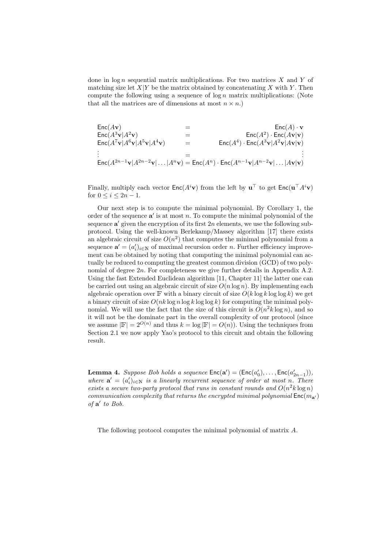done in  $log n$  sequential matrix multiplications. For two matrices X and Y of matching size let  $X|Y$  be the matrix obtained by concatenating X with Y. Then compute the following using a sequence of  $\log n$  matrix multiplications: (Note that all the matrices are of dimensions at most  $n \times n$ .)

$$
\begin{array}{lcl} \mathsf{Enc}(A\mathbf{v}) & = & \mathsf{Enc}(A) \cdot \mathbf{v} \\ \mathsf{Enc}(A^3\mathbf{v}|A^2\mathbf{v}) & = & \mathsf{Enc}(A^2) \cdot \mathsf{Enc}(A\mathbf{v}|\mathbf{v}) \\ \mathsf{Enc}(A^7\mathbf{v}|A^6\mathbf{v}|A^5\mathbf{v}|A^4\mathbf{v}) & = & \mathsf{Enc}(A^4) \cdot \mathsf{Enc}(A^3\mathbf{v}|A^2\mathbf{v}|A\mathbf{v}|\mathbf{v}) \\ \vdots & = & \mathsf{Enc}(A^{2n-1}\mathbf{v}|A^{2n-2}\mathbf{v}| \ldots |A^n\mathbf{v}) = \mathsf{Enc}(A^n) \cdot \mathsf{Enc}(A^{n-1}\mathbf{v}|A^{n-2}\mathbf{v}| \ldots |A\mathbf{v}|\mathbf{v}) \end{array}
$$

Finally, multiply each vector  $\mathsf{Enc}(A^i\mathbf{v})$  from the left by  $\mathbf{u}^\top$  to get  $\mathsf{Enc}(\mathbf{u}^\top A^i\mathbf{v})$ for  $0 \leq i \leq 2n-1$ .

Our next step is to compute the minimal polynomial. By Corollary 1, the order of the sequence  $a'$  is at most n. To compute the minimal polynomial of the sequence  $a'$  given the encryption of its first  $2n$  elements, we use the following subprotocol. Using the well-known Berlekamp/Massey algorithm [17] there exists an algebraic circuit of size  $O(n^2)$  that computes the minimal polynomial from a sequence  $\mathbf{a}' = (a'_i)_{i \in \mathbb{N}}$  of maximal recursion order *n*. Further efficiency improvement can be obtained by noting that computing the minimal polynomial can actually be reduced to computing the greatest common division (GCD) of two polynomial of degree  $2n$ . For completeness we give further details in Appendix A.2. Using the fast Extended Euclidean algorithm [11, Chapter 11] the latter one can be carried out using an algebraic circuit of size  $O(n \log n)$ . By implementing each algebraic operation over  $\mathbb F$  with a binary circuit of size  $O(k \log k \log \log k)$  we get a binary circuit of size  $O(nk \log n \log k \log \log k)$  for computing the minimal polynomial. We will use the fact that the size of this circuit is  $O(n^2 k \log n)$ , and so it will not be the dominate part in the overall complexity of our protocol (since we assume  $|\mathbb{F}| = 2^{O(n)}$  and thus  $k = \log |\mathbb{F}| = O(n)$ . Using the techniques from Section 2.1 we now apply Yao's protocol to this circuit and obtain the following result.

**Lemma 4.** Suppose Bob holds a sequence  $Enc(a') = (Enc(a'_0), ..., Enc(a'_{2n-1})),$ where  $\mathbf{a}' = (a'_i)_{i \in \mathbb{N}}$  is a linearly recurrent sequence of order at most n. There exists a secure two-party protocol that runs in constant rounds and  $O(n^2k \log n)$ communication complexity that returns the encrypted minimal polynomial  $Enc(m_{\bf{a'}})$ of  $a'$  to Bob.

The following protocol computes the minimal polynomial of matrix A.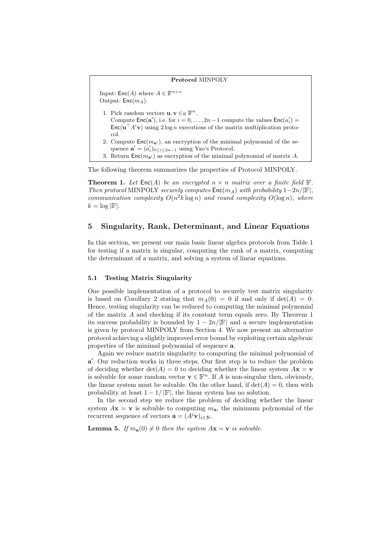## Protocol MINPOLY Input:  $\mathsf{Enc}(A)$  where  $A \in \mathbb{F}^{n \times n}$ Output:  $Enc(m_A)$ . 1. Pick random vectors  $\mathbf{u}, \mathbf{v} \in_R \mathbb{F}^n$ . Compute  $Enc(a')$ , i.e. for  $i = 0, ..., 2n-1$  compute the values  $Enc(a'_i)$  $\mathsf{Enc}(\mathbf{u}^\top A^i \mathbf{v})$  using  $2 \log n$  executions of the matrix multiplication protocol. 2. Compute  $Enc(m_{a'})$ , an encryption of the minimal polynomial of the sequence  $\mathbf{a}' = (a'_i)_{0 \leq i \leq 2n-1}$  using Yao's Protocol. 3. Return  $Enc(m_{a'})$  as encryption of the minimal polynomial of matrix A.

The following theorem summarizes the properties of Protocol MINPOLY.

**Theorem 1.** Let  $Enc(A)$  be an encrypted  $n \times n$  matrix over a finite field  $\mathbb{F}$ . Then protocol MINPOLY securely computes  $\text{Enc}(m_A)$  with probability  $1-2n/|\mathbb{F}|$ , communication complexity  $O(n^2k \log n)$  and round complexity  $O(\log n)$ , where  $k = \log |\mathbb{F}|.$ 

### 5 Singularity, Rank, Determinant, and Linear Equations

In this section, we present our main basic linear algebra protocols from Table 1 for testing if a matrix is singular, computing the rank of a matrix, computing the determinant of a matrix, and solving a system of linear equations.

### 5.1 Testing Matrix Singularity

One possible implementation of a protocol to securely test matrix singularity is based on Corollary 2 stating that  $m_A(0) = 0$  if and only if  $det(A) = 0$ . Hence, testing singularity can be reduced to computing the minimal polynomial of the matrix A and checking if its constant term equals zero. By Theorem 1 its success probability is bounded by  $1 - 2n/|\mathbb{F}|$  and a secure implementation is given by protocol MINPOLY from Section 4. We now present an alternative protocol achieving a slightly improved error bound by exploiting certain algebraic properties of the minimal polynomial of sequence a.

Again we reduce matrix singularity to computing the minimal polynomial of a'. Our reduction works in three steps. Our first step is to reduce the problem of deciding whether det(A) = 0 to deciding whether the linear system  $A\mathbf{x} = \mathbf{v}$ is solvable for some random vector  $\mathbf{v} \in \mathbb{F}^n$ . If A is non-singular then, obviously, the linear system must be solvable. On the other hand, if  $det(A) = 0$ , then with probability at least  $1 - 1/|\mathbb{F}|$ , the linear system has no solution.

In the second step we reduce the problem of deciding whether the linear system  $A\mathbf{x} = \mathbf{v}$  is solvable to computing  $m_{\mathbf{a}}$ , the minimum polynomial of the recurrent sequence of vectors  $\mathbf{a} = (A^i \mathbf{v})_{i \in \mathbb{N}}$ .

**Lemma 5.** If  $m_a(0) \neq 0$  then the system  $A\mathbf{x} = \mathbf{v}$  is solvable.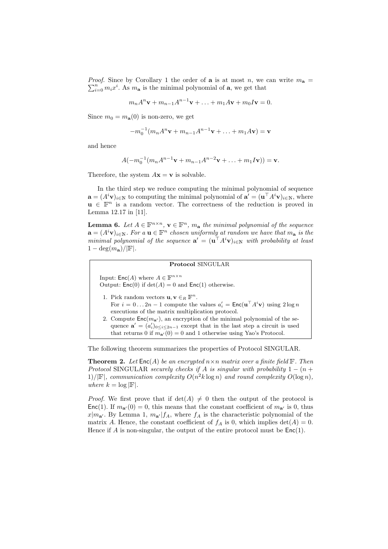*Proof.* Since by Corollary 1 the order of **a** is at most n, we can write  $m_a$  =  $\sum_{i=0}^{n} m_i x^i$ . As  $m_a$  is the minimal polynomial of a, we get that

$$
m_n A^n \mathbf{v} + m_{n-1} A^{n-1} \mathbf{v} + \ldots + m_1 A \mathbf{v} + m_0 I \mathbf{v} = 0.
$$

Since  $m_0 = m_a(0)$  is non-zero, we get

$$
-m_0^{-1}(m_n A^n \mathbf{v} + m_{n-1} A^{n-1} \mathbf{v} + \dots + m_1 A \mathbf{v}) = \mathbf{v}
$$

and hence

$$
A(-m_0^{-1}(m_nA^{n-1}\mathbf{v}+m_{n-1}A^{n-2}\mathbf{v}+\ldots+m_1I\mathbf{v}))=\mathbf{v}.
$$

Therefore, the system  $A\mathbf{x} = \mathbf{v}$  is solvable.

In the third step we reduce computing the minimal polynomial of sequence  $\mathbf{a} = (A^i \mathbf{v})_{i \in \mathbb{N}}$  to computing the minimal polynomial of  $\mathbf{a}' = (\mathbf{u}^\top A^i \mathbf{v})_{i \in \mathbb{N}}$ , where  $u \in \mathbb{F}^n$  is a random vector. The correctness of the reduction is proved in Lemma 12.17 in [11].

**Lemma 6.** Let  $A \in \mathbb{F}^{n \times n}$ ,  $\mathbf{v} \in \mathbb{F}^n$ ,  $m_{\mathbf{a}}$  the minimal polynomial of the sequence  $\mathbf{a} = (A^i \mathbf{v})_{i \in \mathbb{N}}$ . For a  $\mathbf{u} \in \mathbb{F}^n$  chosen uniformly at random we have that  $m_{\mathbf{a}}$  is the minimal polynomial of the sequence  $\mathbf{a}' = (\mathbf{u}^\top A^i \mathbf{v})_{i \in \mathbb{N}}$  with probability at least  $1 - \deg(m_{\mathbf{a}})/|\mathbb{F}|$ .

### Protocol SINGULAR

Input:  $\mathsf{Enc}(A)$  where  $A \in \mathbb{F}^{n \times n}$ Output:  $Enc(0)$  if  $det(A) = 0$  and  $Enc(1)$  otherwise.

- 1. Pick random vectors  $\mathbf{u}, \mathbf{v} \in_R \mathbb{F}^n$ . For  $i = 0...2n - 1$  compute the values  $a'_i = \text{Enc}(\mathbf{u}^\top A^i \mathbf{v})$  using  $2 \log n$ executions of the matrix multiplication protocol.
- 2. Compute  $Enc(m_{a'})$ , an encryption of the minimal polynomial of the sequence  $\mathbf{a}' = (a'_i)_{0 \leq i \leq 2n-1}$  except that in the last step a circuit is used that returns 0 if  $m_{\mathbf{a}'}(0) = 0$  and 1 otherwise using Yao's Protocol.

The following theorem summarizes the properties of Protocol SINGULAR.

**Theorem 2.** Let  $Enc(A)$  be an encrypted  $n \times n$  matrix over a finite field  $\mathbb{F}$ . Then Protocol SINGULAR securely checks if A is singular with probability  $1 - (n +$ 1)/ $|\mathbb{F}|$ , communication complexity  $O(n^2k \log n)$  and round complexity  $O(\log n)$ , where  $k = \log |\mathbb{F}|$ .

*Proof.* We first prove that if  $det(A) \neq 0$  then the output of the protocol is Enc(1). If  $m_{a'}(0) = 0$ , this means that the constant coefficient of  $m_{a'}$  is 0, thus  $x|m_{\mathbf{a}'}$ . By Lemma 1,  $m_{\mathbf{a}'}|f_A$ , where  $f_A$  is the characteristic polynomial of the matrix A. Hence, the constant coefficient of  $f_A$  is 0, which implies  $\det(A) = 0$ . Hence if  $A$  is non-singular, the output of the entire protocol must be  $Enc(1)$ .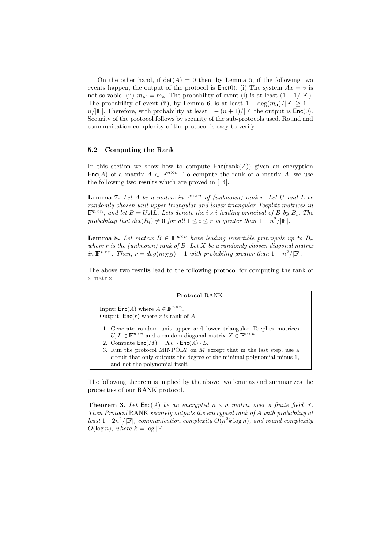On the other hand, if  $det(A) = 0$  then, by Lemma 5, if the following two events happen, the output of the protocol is  $Enc(0)$ : (i) The system  $Ax = v$  is not solvable. (ii)  $m_{a'} = m_{a}$ . The probability of event (i) is at least  $(1 - 1/|\mathbb{F}|)$ . The probability of event (ii), by Lemma 6, is at least  $1 - \deg(m_{\mathbf{a}})/|\mathbb{F}| \geq 1$  $n/|F|$ . Therefore, with probability at least  $1 - (n+1)/|F|$  the output is  $Enc(0)$ . Security of the protocol follows by security of the sub-protocols used. Round and communication complexity of the protocol is easy to verify.

### 5.2 Computing the Rank

In this section we show how to compute  $Enc(\text{rank}(A))$  given an encryption Enc(A) of a matrix  $A \in \mathbb{F}^{n \times n}$ . To compute the rank of a matrix A, we use the following two results which are proved in [14].

**Lemma 7.** Let A be a matrix in  $\mathbb{F}^{n \times n}$  of (unknown) rank r. Let U and L be randomly chosen unit upper triangular and lower triangular Toeplitz matrices in  $\mathbb{F}^{n \times n}$ , and let  $B = UAL$ . Lets denote the  $i \times i$  leading principal of B by  $B_i$ . The probability that  $det(B_i) \neq 0$  for all  $1 \leq i \leq r$  is greater than  $1 - n^2/|\mathbb{F}|$ .

**Lemma 8.** Let matrix  $B \in \mathbb{F}^{n \times n}$  have leading invertible principals up to  $B_r$ where  $r$  is the (unknown) rank of  $B$ . Let  $X$  be a randomly chosen diagonal matrix in  $\mathbb{F}^{n \times n}$ . Then,  $r = deg(m_{XB}) - 1$  with probability greater than  $1 - n^2/|\mathbb{F}|$ .

The above two results lead to the following protocol for computing the rank of a matrix.

#### Protocol RANK

Input:  $\mathsf{Enc}(A)$  where  $A \in \mathbb{F}^{n \times n}$ . Output:  $Enc(r)$  where r is rank of A.

- 1. Generate random unit upper and lower triangular Toeplitz matrices  $U, L \in \mathbb{F}^{n \times n}$  and a random diagonal matrix  $X \in \mathbb{F}^{n \times n}$ .
- 2. Compute  $\mathsf{Enc}(M) = XU \cdot \mathsf{Enc}(A) \cdot L$ .
- 3. Run the protocol MINPOLY on M except that in the last step, use a circuit that only outputs the degree of the minimal polynomial minus 1, and not the polynomial itself.

The following theorem is implied by the above two lemmas and summarizes the properties of our RANK protocol.

**Theorem 3.** Let  $Enc(A)$  be an encrypted  $n \times n$  matrix over a finite field  $\mathbb{F}$ . Then Protocol RANK securely outputs the encrypted rank of A with probability at least  $1-2n^2/|\mathbb{F}|$ , communication complexity  $O(n^2k \log n)$ , and round complexity  $O(\log n)$ , where  $k = \log |\mathbb{F}|$ .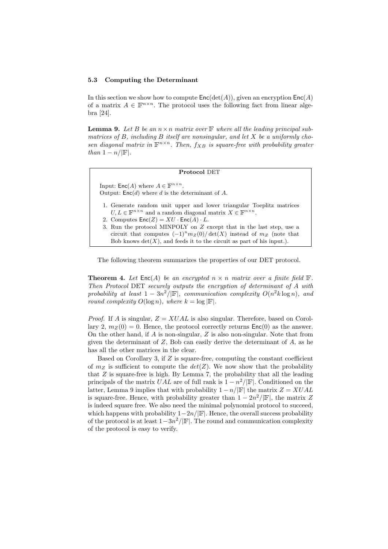#### 5.3 Computing the Determinant

In this section we show how to compute  $Enc(det(A))$ , given an encryption  $Enc(A)$ of a matrix  $A \in \mathbb{F}^{n \times n}$ . The protocol uses the following fact from linear algebra [24].

**Lemma 9.** Let B be an  $n \times n$  matrix over  $\mathbb{F}$  where all the leading principal submatrices of  $B$ , including  $B$  itself are nonsingular, and let  $X$  be a uniformly chosen diagonal matrix in  $\mathbb{F}^{n \times n}$ . Then,  $f_{XB}$  is square-free with probability greater than  $1 - n/|\mathbb{F}|$ .

#### Protocol DET

Input:  $\mathsf{Enc}(A)$  where  $A \in \mathbb{F}^{n \times n}$ . Output:  $Enc(d)$  where d is the determinant of A.

- 1. Generate random unit upper and lower triangular Toeplitz matrices  $U, L \in \mathbb{F}^{n \times n}$  and a random diagonal matrix  $X \in \mathbb{F}^{n \times n}$ .
- 2. Computes  $Enc(Z) = XU \cdot Enc(A) \cdot L$ .
- 3. Run the protocol MINPOLY on Z except that in the last step, use a circuit that computes  $(-1)^n m_Z(0)/\det(X)$  instead of  $m_Z$  (note that Bob knows  $\det(X)$ , and feeds it to the circuit as part of his input.).

The following theorem summarizes the properties of our DET protocol.

**Theorem 4.** Let  $Enc(A)$  be an encrypted  $n \times n$  matrix over a finite field  $\mathbb{F}$ . Then Protocol DET securely outputs the encryption of determinant of A with probability at least  $1 - 3n^2/|\mathbb{F}|$ , communication complexity  $O(n^2k \log n)$ , and round complexity  $O(\log n)$ , where  $k = \log |\mathbb{F}|$ .

*Proof.* If A is singular,  $Z = XUAL$  is also singular. Therefore, based on Corollary 2,  $m_Z(0) = 0$ . Hence, the protocol correctly returns  $Enc(0)$  as the answer. On the other hand, if  $A$  is non-singular,  $Z$  is also non-singular. Note that from given the determinant of  $Z$ , Bob can easily derive the determinant of  $A$ , as he has all the other matrices in the clear.

Based on Corollary 3, if  $Z$  is square-free, computing the constant coefficient of  $m_Z$  is sufficient to compute the  $det(Z)$ . We now show that the probability that Z is square-free is high. By Lemma 7, the probability that all the leading principals of the matrix  $UAL$  are of full rank is  $1 - n^2/|\mathbb{F}|$ . Conditioned on the latter, Lemma 9 implies that with probability  $1 - n/|\mathbb{F}|$  the matrix  $Z = XUAL$ is square-free. Hence, with probability greater than  $1 - 2n^2/|\mathbb{F}|$ , the matrix Z is indeed square free. We also need the minimal polynomial protocol to succeed, which happens with probability  $1-2n/|\mathbb{F}|$ . Hence, the overall success probability of the protocol is at least  $1-3n^2/|\mathbb{F}|$ . The round and communication complexity of the protocol is easy to verify.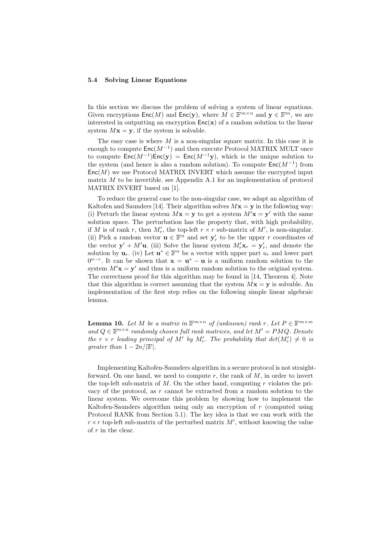#### 5.4 Solving Linear Equations

In this section we discuss the problem of solving a system of linear equations. Given encryptions  $\mathsf{Enc}(M)$  and  $\mathsf{Enc}(\mathbf{y})$ , where  $M \in \mathbb{F}^{m \times n}$  and  $\mathbf{y} \in \mathbb{F}^m$ , we are interested in outputting an encryption  $Enc(\mathbf{x})$  of a random solution to the linear system  $Mx = y$ , if the system is solvable.

The easy case is where  $M$  is a non-singular square matrix. In this case it is enough to compute  $\mathsf{Enc}(M^{-1})$  and then execute Protocol MATRIX MULT once to compute  $Enc(M^{-1})Enc(y) = Enc(M^{-1}y)$ , which is the unique solution to the system (and hence is also a random solution). To compute  $\mathsf{Enc}(M^{-1})$  from  $Enc(M)$  we use Protocol MATRIX INVERT which assume the encrypted input matrix  $M$  to be invertible. see Appendix A.1 for an implementation of protocol MATRIX INVERT based on [1].

To reduce the general case to the non-singular case, we adapt an algorithm of Kaltofen and Saunders [14]. Their algorithm solves  $M\mathbf{x} = \mathbf{y}$  in the following way: (i) Perturb the linear system  $Mx = y$  to get a system  $M'x = y'$  with the same solution space. The perturbation has the property that, with high probability, if M is of rank r, then  $M'_r$ , the top-left  $r \times r$  sub-matrix of M', is non-singular. (ii) Pick a random vector  $\mathbf{u} \in \mathbb{F}^n$  and set  $\mathbf{y}'_r$  to be the upper r coordinates of the vector  $\mathbf{y}' + M' \mathbf{u}$ . (iii) Solve the linear system  $M'_r \mathbf{x}_r = \mathbf{y}'_r$ , and denote the solution by  $\mathbf{u}_r$ . (iv) Let  $\mathbf{u}^* \in \mathbb{F}^n$  be a vector with upper part  $u_r$  and lower part  $0^{n-r}$ . It can be shown that  $\mathbf{x} = \mathbf{u}^* - \mathbf{u}$  is a uniform random solution to the system  $M'$ **x** = **y**' and thus is a uniform random solution to the original system. The correctness proof for this algorithm may be found in [14, Theorem 4]. Note that this algorithm is correct assuming that the system  $Mx = y$  is solvable. An implementation of the first step relies on the following simple linear algebraic lemma.

**Lemma 10.** Let M be a matrix in  $\mathbb{F}^{m \times n}$  of (unknown) rank r. Let  $P \in \mathbb{F}^{m \times m}$ and  $Q \in \mathbb{F}^{n \times n}$  randomly chosen full rank matrices, and let  $M' = PMQ$ . Denote the  $r \times r$  leading principal of M' by M'<sub>r</sub>. The probability that  $det(M'_r) \neq 0$  is qreater than  $1 - 2n/|\mathbb{F}|$ .

Implementing Kaltofen-Saunders algorithm in a secure protocol is not straightforward. On one hand, we need to compute  $r$ , the rank of  $M$ , in order to invert the top-left sub-matrix of  $M$ . On the other hand, computing r violates the privacy of the protocol, as  $r$  cannot be extracted from a random solution to the linear system. We overcome this problem by showing how to implement the Kaltofen-Saunders algorithm using only an encryption of  $r$  (computed using Protocol RANK from Section 5.1). The key idea is that we can work with the  $r \times r$  top-left sub-matrix of the perturbed matrix  $M'$ , without knowing the value of  $r$  in the clear.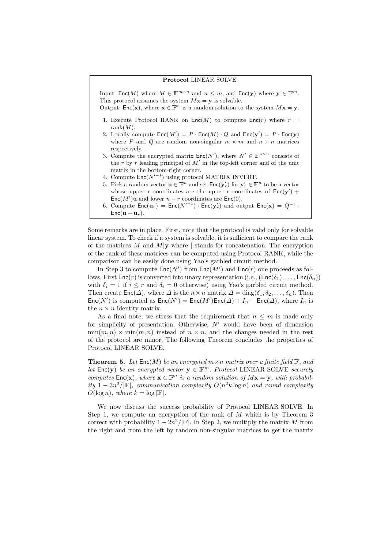#### Protocol LINEAR SOLVE

Input:  $\mathsf{Enc}(M)$  where  $M \in \mathbb{F}^{m \times n}$  and  $n \leq m$ , and  $\mathsf{Enc}(\mathbf{y})$  where  $\mathbf{y} \in \mathbb{F}^m$ . This protocol assumes the system  $Mx = y$  is solvable. Output: Enc(x), where  $\mathbf{x} \in \mathbb{F}^n$  is a random solution to the system  $M\mathbf{x} = \mathbf{y}$ .

- 1. Execute Protocol RANK on  $Enc(M)$  to compute  $Enc(r)$  where  $r =$ rank $(M)$ .
- 2. Locally compute  $\mathsf{Enc}(M') = P \cdot \mathsf{Enc}(M) \cdot Q$  and  $\mathsf{Enc}(\mathbf{y}') = P \cdot \mathsf{Enc}(\mathbf{y})$ where P and Q are random non-singular  $m \times m$  and  $n \times n$  matrices respectively.
- 3. Compute the encrypted matrix  $\mathsf{Enc}(N')$ , where  $N' \in \mathbb{F}^{n \times n}$  consists of the r by r leading principal of  $M'$  in the top-left corner and of the unit matrix in the bottom-right corner.
- 4. Compute  $\mathsf{Enc}(N'^{-1})$  using protocol MATRIX INVERT.
- 5. Pick a random vector  $\mathbf{u} \in \mathbb{F}^n$  and set  $\mathsf{Enc}(\mathbf{y}'_r)$  for  $\mathbf{y}'_r \in \mathbb{F}^n$  to be a vector whose upper r coordinates are the upper r coordinates of  $Enc(y')$  +  $Enc(M')$ u and lower  $n - r$  coordinates are  $Enc(0)$ .
- 6. Compute  $\text{Enc}(\mathbf{u}_r) = \text{Enc}(N'^{-1}) \cdot \text{Enc}(\mathbf{y}'_r)$  and output  $\text{Enc}(\mathbf{x}) = Q^{-1}$ .  $Enc(\mathbf{u} - \mathbf{u}_r)$ .

Some remarks are in place. First, note that the protocol is valid only for solvable linear system. To check if a system is solvable, it is sufficient to compare the rank of the matrices  $M$  and  $M|\mathbf{y}$  where | stands for concatenation. The encryption of the rank of these matrices can be computed using Protocol RANK, while the comparison can be easily done using Yao's garbled circuit method.

In Step 3 to compute  $\mathsf{Enc}(N')$  from  $\mathsf{Enc}(M')$  and  $\mathsf{Enc}(r)$  one proceeds as follows. First  $Enc(r)$  is converted into unary representation (i.e.,  $(Enc(\delta_1), \ldots, Enc(\delta_n))$ ) with  $\delta_i = 1$  if  $i \leq r$  and  $\delta_i = 0$  otherwise) using Yao's garbled circuit method. Then create  $\textsf{Enc}(\Delta)$ , where  $\Delta$  is the  $n \times n$  matrix  $\Delta = \text{diag}(\delta_1, \delta_2, \ldots, \delta_n)$ . Then  $Enc(N')$  is computed as  $Enc(N') = Enc(M')Enc(\Delta) + I_n - Enc(\Delta)$ , where  $I_n$  is the  $n \times n$  identity matrix.

As a final note, we stress that the requirement that  $n \leq m$  is made only for simplicity of presentation. Otherwise,  $N'$  would have been of dimension  $\min(m, n) \times \min(m, n)$  instead of  $n \times n$ , and the changes needed in the rest of the protocol are minor. The following Theorem concludes the properties of Protocol LINEAR SOLVE.

**Theorem 5.** Let  $Enc(M)$  be an encrypted  $m \times n$  matrix over a finite field  $\mathbb{F}$ , and let  $\text{Enc}(\mathbf{y})$  be an encrypted vector  $\mathbf{y} \in \mathbb{F}^m$ . Protocol LINEAR SOLVE securely computes  $Enc(\mathbf{x})$ , where  $\mathbf{x} \in \mathbb{F}^n$  is a random solution of  $M\mathbf{x} = \mathbf{y}$ , with probability  $1-3n^2/|\mathbb{F}|$ , communication complexity  $O(n^2k \log n)$  and round complexity  $O(\log n)$ , where  $k = \log |\mathbb{F}|$ .

We now discuss the success probability of Protocol LINEAR SOLVE. In Step 1, we compute an encryption of the rank of M which is by Theorem 3 correct with probability  $1 - 2n^2/|\mathbb{F}|$ . In Step 2, we multiply the matrix M from the right and from the left by random non-singular matrices to get the matrix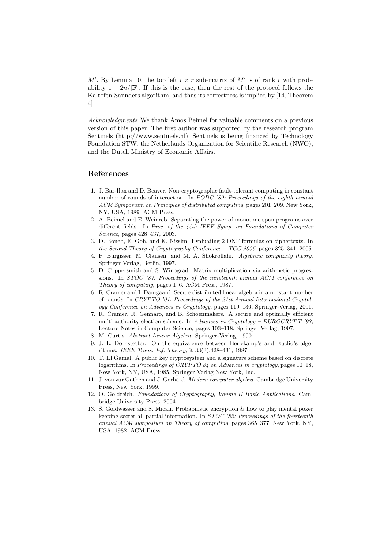M'. By Lemma 10, the top left  $r \times r$  sub-matrix of M' is of rank r with probability  $1 - 2n/|\mathbf{F}|$ . If this is the case, then the rest of the protocol follows the Kaltofen-Saunders algorithm, and thus its correctness is implied by [14, Theorem 4].

Acknowledgments We thank Amos Beimel for valuable comments on a previous version of this paper. The first author was supported by the research program Sentinels (http://www.sentinels.nl). Sentinels is being financed by Technology Foundation STW, the Netherlands Organization for Scientific Research (NWO), and the Dutch Ministry of Economic Affairs.

### References

- 1. J. Bar-Ilan and D. Beaver. Non-cryptographic fault-tolerant computing in constant number of rounds of interaction. In PODC '89: Proceedings of the eighth annual ACM Symposium on Principles of distributed computing, pages 201–209, New York, NY, USA, 1989. ACM Press.
- 2. A. Beimel and E. Weinreb. Separating the power of monotone span programs over different fields. In Proc. of the 44th IEEE Symp. on Foundations of Computer Science, pages 428–437, 2003.
- 3. D. Boneh, E. Goh, and K. Nissim. Evaluating 2-DNF formulas on ciphertexts. In the Second Theory of Cryptography Conference – TCC 2005, pages 325–341, 2005.
- 4. P. Bürgisser, M. Clausen, and M. A. Shokrollahi. Algebraic complexity theory. Springer-Verlag, Berlin, 1997.
- 5. D. Coppersmith and S. Winograd. Matrix multiplication via arithmetic progressions. In STOC '87: Proceedings of the nineteenth annual ACM conference on Theory of computing, pages 1–6. ACM Press, 1987.
- 6. R. Cramer and I. Damgaard. Secure distributed linear algebra in a constant number of rounds. In CRYPTO '01: Proceedings of the 21st Annual International Cryptology Conference on Advances in Cryptology, pages 119–136. Springer-Verlag, 2001.
- 7. R. Cramer, R. Gennaro, and B. Schoenmakers. A secure and optimally efficient multi-authority election scheme. In Advances in Cryptology –  $EUROCRYPT$  '97, Lecture Notes in Computer Science, pages 103–118. Springer-Verlag, 1997.
- 8. M. Curtis. Abstract Linear Algebra. Springer-Verlag, 1990.
- 9. J. L. Dornstetter. On the equivalence between Berlekamp's and Euclid's algorithms. IEEE Trans. Inf. Theory, it-33(3):428–431, 1987.
- 10. T. El Gamal. A public key cryptosystem and a signature scheme based on discrete logarithms. In Proceedings of CRYPTO 84 on Advances in cryptology, pages 10–18, New York, NY, USA, 1985. Springer-Verlag New York, Inc.
- 11. J. von zur Gathen and J. Gerhard. Modern computer algebra. Cambridge University Press, New York, 1999.
- 12. O. Goldreich. Foundations of Cryptography, Voume II Basic Applications. Cambridge University Press, 2004.
- 13. S. Goldwasser and S. Micali. Probabilistic encryption & how to play mental poker keeping secret all partial information. In STOC '82: Proceedings of the fourteenth annual ACM symposium on Theory of computing, pages 365–377, New York, NY, USA, 1982. ACM Press.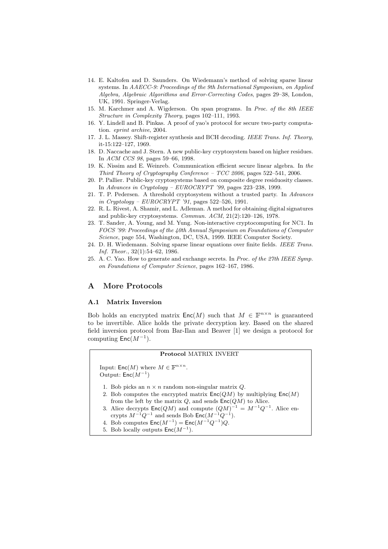- 14. E. Kaltofen and D. Saunders. On Wiedemann's method of solving sparse linear systems. In AAECC-9: Proceedings of the 9th International Symposium, on Applied Algebra, Algebraic Algorithms and Error-Correcting Codes, pages 29–38, London, UK, 1991. Springer-Verlag.
- 15. M. Karchmer and A. Wigderson. On span programs. In Proc. of the 8th IEEE Structure in Complexity Theory, pages 102–111, 1993.
- 16. Y. Lindell and B. Pinkas. A proof of yao's protocol for secure two-party computation. eprint archive, 2004.
- 17. J. L. Massey. Shift-register synthesis and BCH decoding. IEEE Trans. Inf. Theory, it-15:122–127, 1969.
- 18. D. Naccache and J. Stern. A new public-key cryptosystem based on higher residues. In ACM CCS 98, pages 59–66, 1998.
- 19. K. Nissim and E. Weinreb. Communication efficient secure linear algebra. In the Third Theory of Cryptography Conference – TCC 2006, pages 522–541, 2006.
- 20. P. Pallier. Public-key cryptosystems based on composite degree residuosity classes. In Advances in Cryptology – EUROCRYPT '99, pages 223–238, 1999.
- 21. T. P. Pedersen. A threshold cryptosystem without a trusted party. In Advances in Cryptology –  $EUROCRYPT'31$ , pages 522–526, 1991.
- 22. R. L. Rivest, A. Shamir, and L. Adleman. A method for obtaining digital signatures and public-key cryptosystems. Commun. ACM, 21(2):120–126, 1978.
- 23. T. Sander, A. Young, and M. Yung. Non-interactive cryptocomputing for NC1. In FOCS '99: Proceedings of the 40th Annual Symposium on Foundations of Computer Science, page 554, Washington, DC, USA, 1999. IEEE Computer Society.
- 24. D. H. Wiedemann. Solving sparse linear equations over finite fields. IEEE Trans. Inf. Theor., 32(1):54–62, 1986.
- 25. A. C. Yao. How to generate and exchange secrets. In Proc. of the 27th IEEE Symp. on Foundations of Computer Science, pages 162–167, 1986.

### A More Protocols

### A.1 Matrix Inversion

Bob holds an encrypted matrix  $\mathsf{Enc}(M)$  such that  $M \in \mathbb{F}^{n \times n}$  is guaranteed to be invertible. Alice holds the private decryption key. Based on the shared field inversion protocol from Bar-Ilan and Beaver [1] we design a protocol for computing  $\mathsf{Enc}(M^{-1})$ .

### Protocol MATRIX INVERT

Input:  $\mathsf{Enc}(M)$  where  $M \in \mathbb{F}^{n \times n}$ . Output:  $Enc(M^{-1})$ 

- 1. Bob picks an  $n \times n$  random non-singular matrix  $Q$ .
- 2. Bob computes the encrypted matrix  $Enc(QM)$  by multiplying  $Enc(M)$ from the left by the matrix  $Q$ , and sends  $Enc(QM)$  to Alice.
- 3. Alice decrypts  $\mathsf{Enc}(QM)$  and compute  $(QM)^{-1} = M^{-1}Q^{-1}$ . Alice encrypts  $M^{-1}Q^{-1}$  and sends Bob  $\mathsf{Enc}(M^{-1}Q^{-1})$ .
- 4. Bob computes  $\textsf{Enc}(M^{-1}) = \textsf{Enc}(M^{-1}Q^{-1})Q$ .
- 5. Bob locally outputs  $\mathsf{Enc}(M^{-1})$ .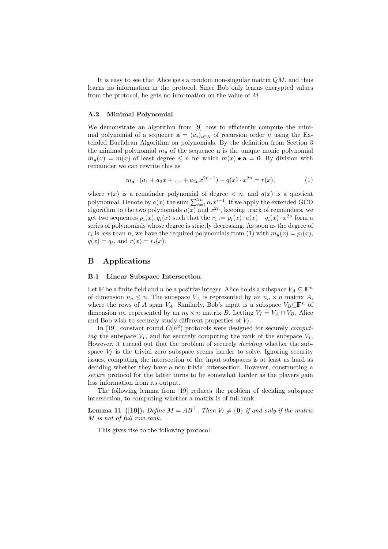It is easy to see that Alice gets a random non-singular matrix  $QM$ , and thus learns no information in the protocol. Since Bob only learns encrypted values from the protocol, he gets no information on the value of  $M$ .

#### A.2 Minimal Polynomial

We demonstrate an algorithm from [9] how to efficiently compute the minimal polynomial of a sequence  $\mathbf{a} = (a_i)_{i \in \mathbb{N}}$  of recursion order n using the Extended Euclidean Algorithm on polynomials. By the definition from Section 3 the minimal polynomial  $m_a$  of the sequence **a** is the unique monic polynomial  $m_{\mathbf{a}}(x) = m(x)$  of least degree  $\leq n$  for which  $m(x) \bullet \mathbf{a} = \mathbf{0}$ . By division with remainder we can rewrite this as

$$
m_{\mathbf{a}} \cdot (a_1 + a_2 x + \dots + a_{2n} x^{2n-1}) - q(x) \cdot x^{2n} = r(x),\tag{1}
$$

where  $r(x)$  is a remainder polynomial of degree  $\langle n, \text{ and } q(x) \rangle$  is a quotient polynomial. Denote by  $a(x)$  the sum  $\sum_{i=1}^{2n} a_i x_i^{i-1}$ . If we apply the extended GCD algorithm to the two polynomials  $a(x)$  and  $x^{2n}$ , keeping track of remainders, we get two sequences  $p_i(x), q_i(x)$  such that the  $r_i := p_i(x) \cdot a(x) - q_i(x) \cdot x^{2n}$  form a series of polynomials whose degree is strictly decreasing. As soon as the degree of  $r_i$  is less than n, we have the required polynomials from (1) with  $m_a(x) = p_i(x)$ ,  $q(x) = q_i$ , and  $r(x) = r_i(x)$ .

### B Applications

#### B.1 Linear Subspace Intersection

Let F be a finite field and n be a positive integer. Alice holds a subspace  $V_A \subseteq \mathbb{F}^n$ of dimension  $n_a \leq n$ . The subspace  $V_A$  is represented by an  $n_a \times n$  matrix A, where the rows of A span  $V_A$ . Similarly, Bob's input is a subspace  $V_B \subseteq \mathbb{F}^n$  of dimension  $n_b$ , represented by an  $n_b \times n$  matrix B. Letting  $V_I = V_A \cap V_B$ , Alice and Bob wish to securely study different properties of  $V_I$ .

In [19], constant round  $O(n^2)$  protocols were designed for securely *comput*ing the subspace  $V_I$ , and for securely computing the rank of the subspace  $V_I$ . However, it turned out that the problem of securely deciding whether the subspace  $V_I$  is the trivial zero subspace seems harder to solve. Ignoring security issues, computing the intersection of the input subspaces is at least as hard as deciding whether they have a non trivial intersection. However, constructing a secure protocol for the latter turns to be somewhat harder as the players gain less information from its output.

The following lemma from [19] reduces the problem of deciding subspace intersection, to computing whether a matrix is of full rank:

**Lemma 11** ([19]). Define  $M = AB^{\top}$ . Then  $V_I \neq \{0\}$  if and only if the matrix M is not of full row rank.

This gives rise to the following protocol: